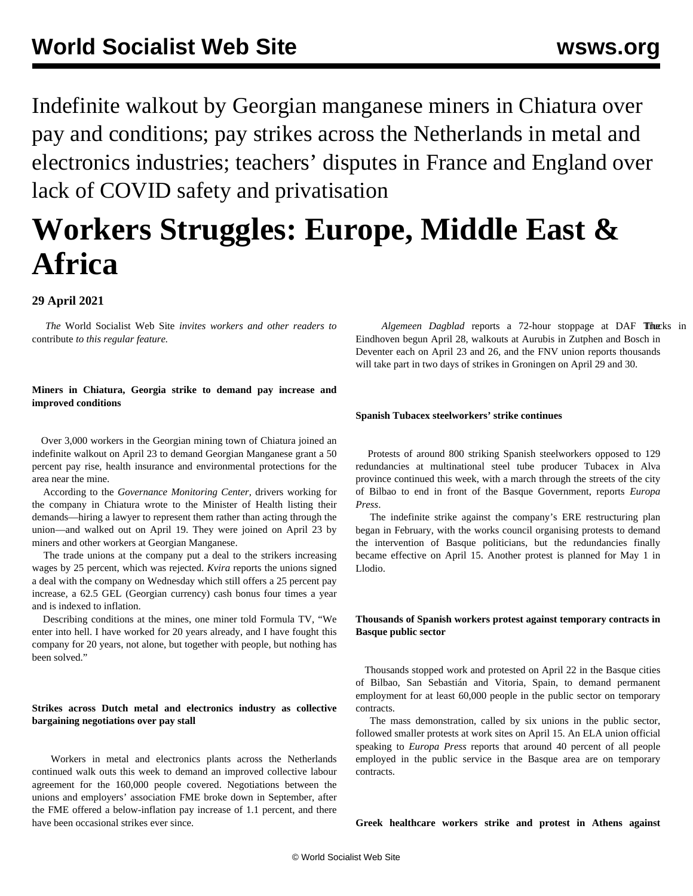Indefinite walkout by Georgian manganese miners in Chiatura over pay and conditions; pay strikes across the Netherlands in metal and electronics industries; teachers' disputes in France and England over lack of COVID safety and privatisation

# **Workers Struggles: Europe, Middle East & Africa**

# **29 April 2021**

 *The* World Socialist Web Site *invites workers and other readers to* [contribute](/wsws/dd-formmailer/dd-formmailer.php) *to this regular feature.*

## **Miners in Chiatura, Georgia strike to demand pay increase and improved conditions**

 Over 3,000 workers in the Georgian mining town of Chiatura joined an indefinite walkout on April 23 to demand Georgian Manganese grant a 50 percent pay rise, health insurance and environmental protections for the area near the mine.

 According to the *Governance Monitoring Center,* drivers working for the company in Chiatura wrote to the Minister of Health listing their demands—hiring a lawyer to represent them rather than acting through the union—and walked out on April 19. They were joined on April 23 by miners and other workers at Georgian Manganese.

 The trade unions at the company put a deal to the strikers increasing wages by 25 percent, which was rejected. *Kvira* reports the unions signed a deal with the company on Wednesday which still offers a 25 percent pay increase, a 62.5 GEL (Georgian currency) cash bonus four times a year and is indexed to inflation.

 Describing conditions at the mines, one miner told Formula TV, "We enter into hell. I have worked for 20 years already, and I have fought this company for 20 years, not alone, but together with people, but nothing has been solved."

## **Strikes across Dutch metal and electronics industry as collective bargaining negotiations over pay stall**

 Workers in metal and electronics plants across the Netherlands continued walk outs this week to demand an improved collective labour agreement for the 160,000 people covered. Negotiations between the unions and employers' association FME broke down in September, after the FME offered a below-inflation pay increase of 1.1 percent, and there have been occasional strikes ever since.

Algemeen Dagblad reports a 72-hour stoppage at DAF Thucks in Eindhoven begun April 28, walkouts at Aurubis in Zutphen and Bosch in Deventer each on April 23 and 26, and the FNV union reports thousands will take part in two days of strikes in Groningen on April 29 and 30.

## **Spanish Tubacex steelworkers' strike continues**

 Protests of around 800 striking Spanish steelworkers opposed to 129 redundancies at multinational steel tube producer Tubacex in Alva province continued this week, with a march through the streets of the city of Bilbao to end in front of the Basque Government, reports *Europa Press*.

 The indefinite strike against the company's ERE restructuring plan began in February, with the works council organising protests to demand the intervention of Basque politicians, but the redundancies finally became effective on April 15. Another protest is planned for May 1 in Llodio.

### **Thousands of Spanish workers protest against temporary contracts in Basque public sector**

 Thousands stopped work and protested on April 22 in the Basque cities of Bilbao, San Sebastián and Vitoria, Spain, to demand permanent employment for at least 60,000 people in the public sector on temporary contracts.

 The mass demonstration, called by six unions in the public sector, followed smaller protests at work sites on April 15. An ELA union official speaking to *Europa Press* reports that around 40 percent of all people employed in the public service in the Basque area are on temporary contracts.

**Greek healthcare workers strike and protest in Athens against**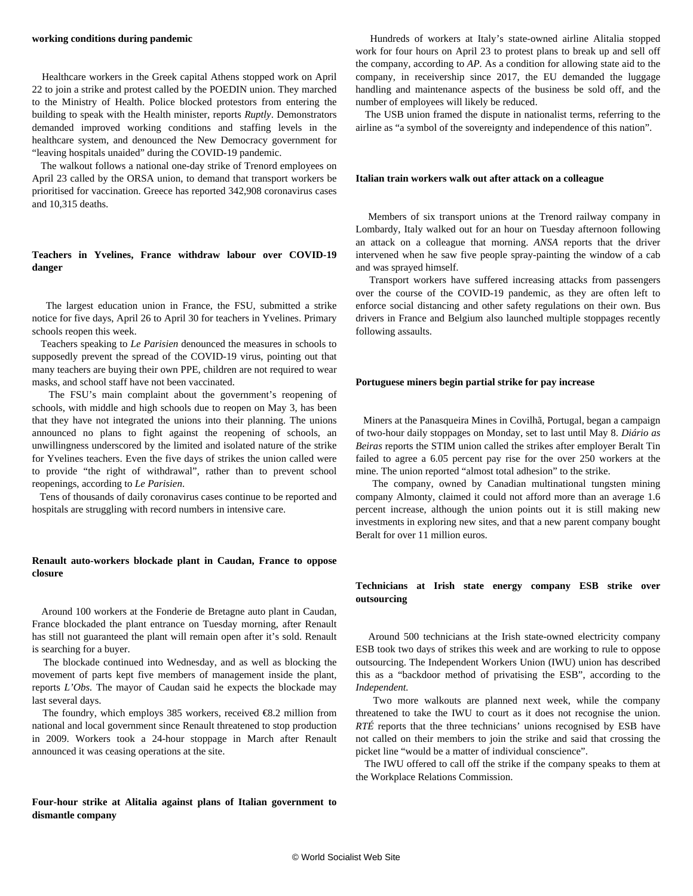#### **working conditions during pandemic**

 Healthcare workers in the Greek capital Athens stopped work on April 22 to join a strike and protest called by the POEDIN union. They marched to the Ministry of Health. Police blocked protestors from entering the building to speak with the Health minister, reports *Ruptly*. Demonstrators demanded improved working conditions and staffing levels in the healthcare system, and denounced the New Democracy government for "leaving hospitals unaided" during the COVID-19 pandemic.

 The walkout follows a national one-day strike of Trenord employees on April 23 called by the ORSA union, to demand that transport workers be prioritised for vaccination. Greece has reported 342,908 coronavirus cases and 10,315 deaths.

#### **Teachers in Yvelines, France withdraw labour over COVID-19 danger**

 The largest education union in France, the FSU, submitted a strike notice for five days, April 26 to April 30 for teachers in Yvelines. Primary schools reopen this week.

 Teachers speaking to *Le Parisien* denounced the measures in schools to supposedly prevent the spread of the COVID-19 virus, pointing out that many teachers are buying their own PPE, children are not required to wear masks, and school staff have not been vaccinated.

 The FSU's main complaint about the government's reopening of schools, with middle and high schools due to reopen on May 3, has been that they have not integrated the unions into their planning. The unions announced no plans to fight against the reopening of schools, an unwillingness underscored by the limited and isolated nature of the strike for Yvelines teachers. Even the five days of strikes the union called were to provide "the right of withdrawal", rather than to prevent school reopenings, according to *Le Parisien*.

 Tens of thousands of daily coronavirus cases continue to be reported and hospitals are struggling with record numbers in intensive care.

#### **Renault auto-workers blockade plant in Caudan, France to oppose closure**

 Around 100 workers at the Fonderie de Bretagne auto plant in Caudan, France blockaded the plant entrance on Tuesday morning, after Renault has still not guaranteed the plant will remain open after it's sold. Renault is searching for a buyer.

 The blockade continued into Wednesday, and as well as blocking the movement of parts kept five members of management inside the plant, reports *L'Obs.* The mayor of Caudan said he expects the blockade may last several days.

 The foundry, which employs 385 workers, received €8.2 million from national and local government since Renault threatened to stop production in 2009. Workers took a 24-hour stoppage in March after Renault announced it was ceasing operations at the site.

#### **Four-hour strike at Alitalia against plans of Italian government to dismantle company**

 Hundreds of workers at Italy's state-owned airline Alitalia stopped work for four hours on April 23 to protest plans to break up and sell off the company, according to *AP.* As a condition for allowing state aid to the company, in receivership since 2017, the EU demanded the luggage handling and maintenance aspects of the business be sold off, and the number of employees will likely be reduced.

 The USB union framed the dispute in nationalist terms, referring to the airline as "a symbol of the sovereignty and independence of this nation".

#### **Italian train workers walk out after attack on a colleague**

 Members of six transport unions at the Trenord railway company in Lombardy, Italy walked out for an hour on Tuesday afternoon following an attack on a colleague that morning. *ANSA* reports that the driver intervened when he saw five people spray-painting the window of a cab and was sprayed himself.

 Transport workers have suffered increasing attacks from passengers over the course of the COVID-19 pandemic, as they are often left to enforce social distancing and other safety regulations on their own. Bus drivers in France and Belgium also launched multiple stoppages recently following assaults.

#### **Portuguese miners begin partial strike for pay increase**

 Miners at the Panasqueira Mines in Covilhã, Portugal, began a campaign of two-hour daily stoppages on Monday, set to last until May 8. *Diário as Beiras* reports the STIM union called the strikes after employer Beralt Tin failed to agree a 6.05 percent pay rise for the over 250 workers at the mine. The union reported "almost total adhesion" to the strike.

 The company, owned by Canadian multinational tungsten mining company Almonty, claimed it could not afford more than an average 1.6 percent increase, although the union points out it is still making new investments in exploring new sites, and that a new parent company bought Beralt for over 11 million euros.

#### **Technicians at Irish state energy company ESB strike over outsourcing**

 Around 500 technicians at the Irish state-owned electricity company ESB took two days of strikes this week and are working to rule to oppose outsourcing. The Independent Workers Union (IWU) union has described this as a "backdoor method of privatising the ESB", according to the *Independent.*

 Two more walkouts are planned next week, while the company threatened to take the IWU to court as it does not recognise the union. *RTÉ* reports that the three technicians' unions recognised by ESB have not called on their members to join the strike and said that crossing the picket line "would be a matter of individual conscience".

 The IWU offered to call off the strike if the company speaks to them at the Workplace Relations Commission.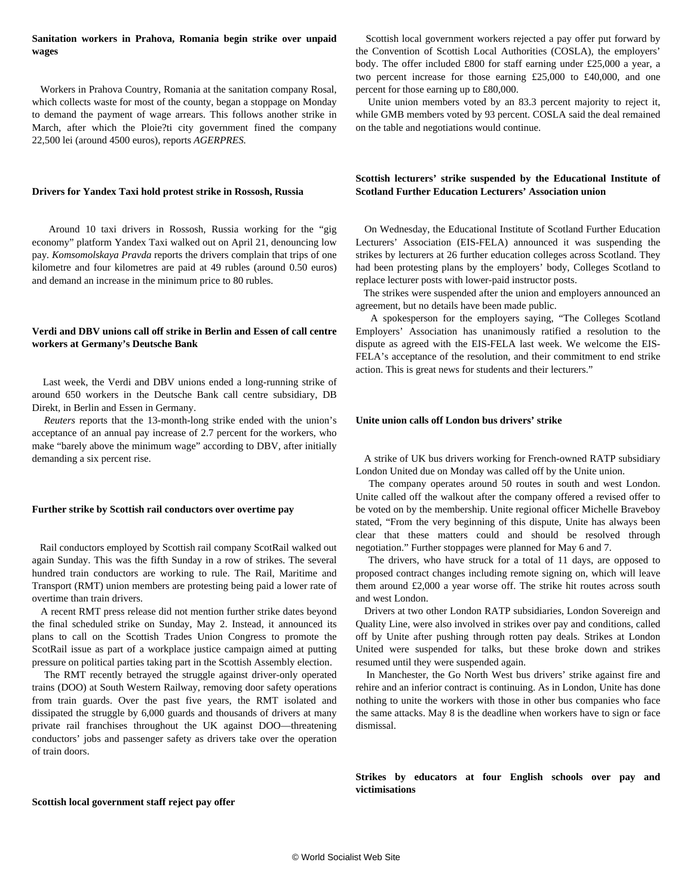## **Sanitation workers in Prahova, Romania begin strike over unpaid wages**

 Workers in Prahova Country, Romania at the sanitation company Rosal, which collects waste for most of the county, began a stoppage on Monday to demand the payment of wage arrears. This follows another strike in March, after which the Ploie?ti city government fined the company 22,500 lei (around 4500 euros), reports *AGERPRES.*

## **Drivers for Yandex Taxi hold protest strike in Rossosh, Russia**

 Around 10 taxi drivers in Rossosh, Russia working for the "gig economy" platform Yandex Taxi walked out on April 21, denouncing low pay*. Komsomolskaya Pravda* reports the drivers complain that trips of one kilometre and four kilometres are paid at 49 rubles (around 0.50 euros) and demand an increase in the minimum price to 80 rubles.

## **Verdi and DBV unions call off strike in Berlin and Essen of call centre workers at Germany's Deutsche Bank**

 Last week, the Verdi and DBV unions ended a long-running strike of around 650 workers in the Deutsche Bank call centre subsidiary, DB Direkt, in Berlin and Essen in Germany.

 *Reuters* reports that the 13-month-long strike ended with the union's acceptance of an annual pay increase of 2.7 percent for the workers, who make "barely above the minimum wage" according to DBV, after initially demanding a six percent rise.

#### **Further strike by Scottish rail conductors over overtime pay**

 Rail conductors employed by Scottish rail company ScotRail walked out again Sunday. This was the fifth Sunday in a row of strikes. The several hundred train conductors are working to rule. The Rail, Maritime and Transport (RMT) union members are protesting being paid a lower rate of overtime than train drivers.

 A recent RMT press release did not mention further strike dates beyond the final scheduled strike on Sunday, May 2. Instead, it announced its plans to call on the Scottish Trades Union Congress to promote the ScotRail issue as part of a workplace justice campaign aimed at putting pressure on political parties taking part in the Scottish Assembly election.

 The RMT recently betrayed the struggle against driver-only operated trains (DOO) at South Western Railway, removing door safety operations from train guards. Over the past five years, the RMT isolated and dissipated the struggle by 6,000 guards and thousands of drivers at many private rail franchises throughout the UK against DOO—threatening conductors' jobs and passenger safety as drivers take over the operation of train doors.

 Scottish local government workers rejected a pay offer put forward by the Convention of Scottish Local Authorities (COSLA), the employers' body. The offer included £800 for staff earning under £25,000 a year, a two percent increase for those earning £25,000 to £40,000, and one percent for those earning up to £80,000.

 Unite union members voted by an 83.3 percent majority to reject it, while GMB members voted by 93 percent. COSLA said the deal remained on the table and negotiations would continue.

# **Scottish lecturers' strike suspended by the Educational Institute of Scotland Further Education Lecturers' Association union**

 On Wednesday, the Educational Institute of Scotland Further Education Lecturers' Association (EIS-FELA) announced it was suspending the strikes by lecturers at 26 further education colleges across Scotland. They had been protesting plans by the employers' body, Colleges Scotland to replace lecturer posts with lower-paid instructor posts.

 The strikes were suspended after the union and employers announced an agreement, but no details have been made public.

 A spokesperson for the employers saying, "The Colleges Scotland Employers' Association has unanimously ratified a resolution to the dispute as agreed with the EIS-FELA last week. We welcome the EIS-FELA's acceptance of the resolution, and their commitment to end strike action. This is great news for students and their lecturers."

## **Unite union calls off London bus drivers' strike**

 A strike of UK bus drivers working for French-owned RATP subsidiary London United due on Monday was called off by the Unite union.

 The company operates around 50 routes in south and west London. Unite called off the walkout after the company offered a revised offer to be voted on by the membership. Unite regional officer Michelle Braveboy stated, "From the very beginning of this dispute, Unite has always been clear that these matters could and should be resolved through negotiation." Further stoppages were planned for May 6 and 7.

 The drivers, who have struck for a total of 11 days, are opposed to proposed contract changes including remote signing on, which will leave them around £2,000 a year worse off. The strike hit routes across south and west London.

 Drivers at two other London RATP subsidiaries, London Sovereign and Quality Line, were also involved in strikes over pay and conditions, called off by Unite after pushing through rotten pay deals. Strikes at London United were suspended for talks, but these broke down and strikes resumed until they were suspended again.

 In Manchester, the Go North West bus drivers' strike against fire and rehire and an inferior contract is continuing. As in London, Unite has done nothing to unite the workers with those in other bus companies who face the same attacks. May 8 is the deadline when workers have to sign or face dismissal.

**Strikes by educators at four English schools over pay and victimisations**

#### **Scottish local government staff reject pay offer**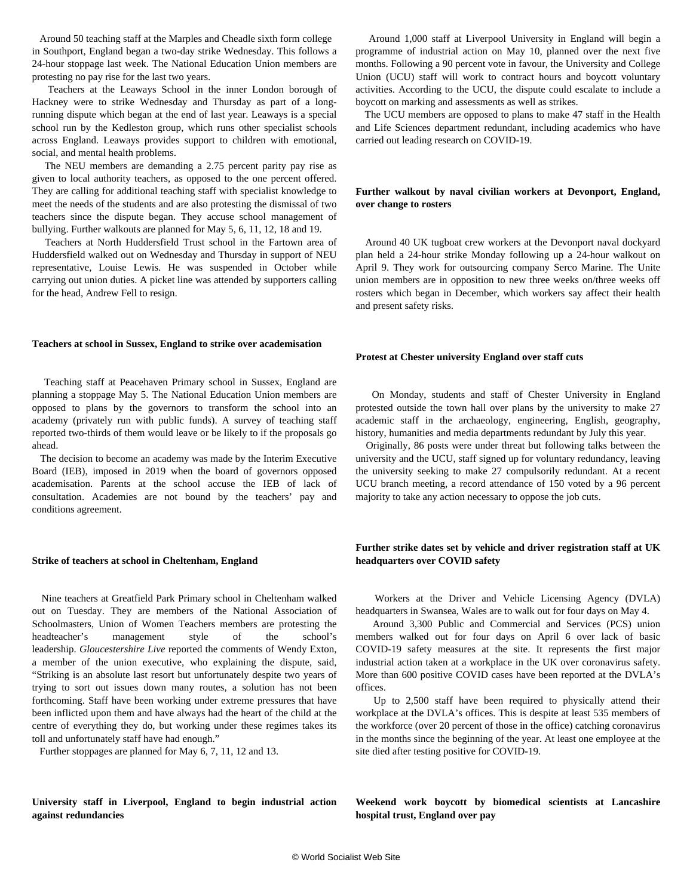Around 50 teaching staff at the Marples and Cheadle sixth form college in Southport, England began a two-day strike Wednesday. This follows a 24-hour stoppage last week. The National Education Union members are protesting no pay rise for the last two years.

 Teachers at the Leaways School in the inner London borough of Hackney were to strike Wednesday and Thursday as part of a longrunning dispute which began at the end of last year. Leaways is a special school run by the Kedleston group, which runs other specialist schools across England. Leaways provides support to children with emotional, social, and mental health problems.

 The NEU members are demanding a 2.75 percent parity pay rise as given to local authority teachers, as opposed to the one percent offered. They are calling for additional teaching staff with specialist knowledge to meet the needs of the students and are also protesting the dismissal of two teachers since the dispute began. They accuse school management of bullying. Further walkouts are planned for May 5, 6, 11, 12, 18 and 19.

 Teachers at North Huddersfield Trust school in the Fartown area of Huddersfield walked out on Wednesday and Thursday in support of NEU representative, Louise Lewis. He was suspended in October while carrying out union duties. A picket line was attended by supporters calling for the head, Andrew Fell to resign.

#### **Teachers at school in Sussex, England to strike over academisation**

 Teaching staff at Peacehaven Primary school in Sussex, England are planning a stoppage May 5. The National Education Union members are opposed to plans by the governors to transform the school into an academy (privately run with public funds). A survey of teaching staff reported two-thirds of them would leave or be likely to if the proposals go ahead.

 The decision to become an academy was made by the Interim Executive Board (IEB), imposed in 2019 when the board of governors opposed academisation. Parents at the school accuse the IEB of lack of consultation. Academies are not bound by the teachers' pay and conditions agreement.

#### **Strike of teachers at school in Cheltenham, England**

 Nine teachers at Greatfield Park Primary school in Cheltenham walked out on Tuesday. They are members of the National Association of Schoolmasters, Union of Women Teachers members are protesting the headteacher's management style of the school's leadership. *Gloucestershire Live* reported the comments of Wendy Exton, a member of the union executive, who explaining the dispute, said, "Striking is an absolute last resort but unfortunately despite two years of trying to sort out issues down many routes, a solution has not been forthcoming. Staff have been working under extreme pressures that have been inflicted upon them and have always had the heart of the child at the centre of everything they do, but working under these regimes takes its toll and unfortunately staff have had enough."

Further stoppages are planned for May 6, 7, 11, 12 and 13.

**University staff in Liverpool, England to begin industrial action against redundancies**

 Around 1,000 staff at Liverpool University in England will begin a programme of industrial action on May 10, planned over the next five months. Following a 90 percent vote in favour, the University and College Union (UCU) staff will work to contract hours and boycott voluntary activities. According to the UCU, the dispute could escalate to include a boycott on marking and assessments as well as strikes.

 The UCU members are opposed to plans to make 47 staff in the Health and Life Sciences department redundant, including academics who have carried out leading research on COVID-19.

## **Further walkout by naval civilian workers at Devonport, England, over change to rosters**

 Around 40 UK tugboat crew workers at the Devonport naval dockyard plan held a 24-hour strike Monday following up a 24-hour walkout on April 9. They work for outsourcing company Serco Marine. The Unite union members are in opposition to new three weeks on/three weeks off rosters which began in December, which workers say affect their health and present safety risks.

#### **Protest at Chester university England over staff cuts**

 On Monday, students and staff of Chester University in England protested outside the town hall over plans by the university to make 27 academic staff in the archaeology, engineering, English, geography, history, humanities and media departments redundant by July this year.

 Originally, 86 posts were under threat but following talks between the university and the UCU, staff signed up for voluntary redundancy, leaving the university seeking to make 27 compulsorily redundant. At a recent UCU branch meeting, a record attendance of 150 voted by a 96 percent majority to take any action necessary to oppose the job cuts.

#### **Further strike dates set by vehicle and driver registration staff at UK headquarters over COVID safety**

 Workers at the Driver and Vehicle Licensing Agency (DVLA) headquarters in Swansea, Wales are to walk out for four days on May 4.

 Around 3,300 Public and Commercial and Services (PCS) union members walked out for four days on April 6 over lack of basic COVID-19 safety measures at the site. It represents the first major industrial action taken at a workplace in the UK over coronavirus safety. More than 600 positive COVID cases have been reported at the DVLA's offices.

 Up to 2,500 staff have been required to physically attend their workplace at the DVLA's offices. This is despite at least 535 members of the workforce (over 20 percent of those in the office) catching coronavirus in the months since the beginning of the year. At least one employee at the site died after testing positive for COVID-19.

**Weekend work boycott by biomedical scientists at Lancashire hospital trust, England over pay**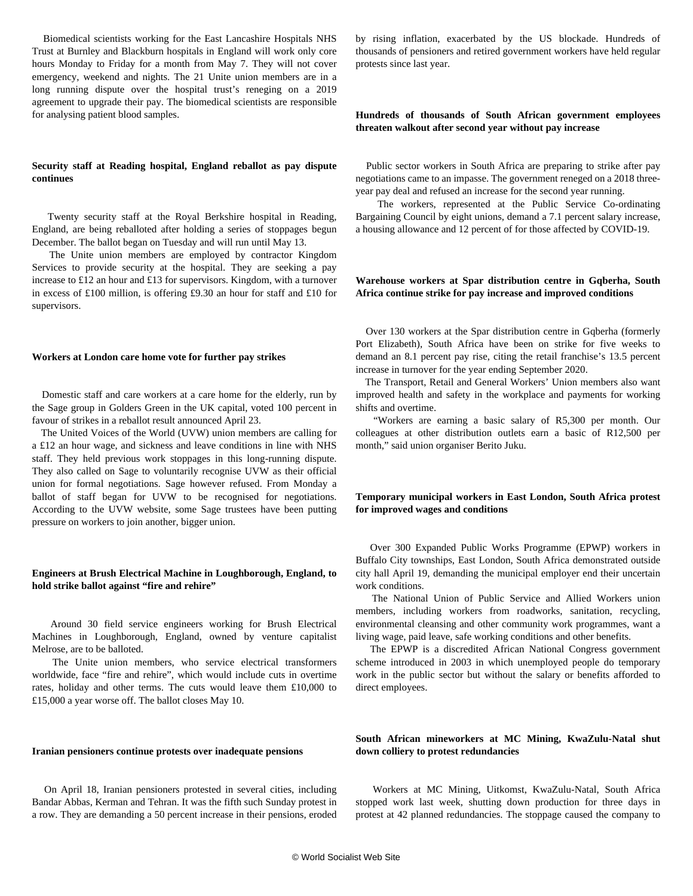Biomedical scientists working for the East Lancashire Hospitals NHS Trust at Burnley and Blackburn hospitals in England will work only core hours Monday to Friday for a month from May 7. They will not cover emergency, weekend and nights. The 21 Unite union members are in a long running dispute over the hospital trust's reneging on a 2019 agreement to upgrade their pay. The biomedical scientists are responsible for analysing patient blood samples.

#### **Security staff at Reading hospital, England reballot as pay dispute continues**

 Twenty security staff at the Royal Berkshire hospital in Reading, England, are being reballoted after holding a series of stoppages begun December. The ballot began on Tuesday and will run until May 13.

 The Unite union members are employed by contractor Kingdom Services to provide security at the hospital. They are seeking a pay increase to £12 an hour and £13 for supervisors. Kingdom, with a turnover in excess of £100 million, is offering £9.30 an hour for staff and £10 for supervisors.

#### **Workers at London care home vote for further pay strikes**

 Domestic staff and care workers at a care home for the elderly, run by the Sage group in Golders Green in the UK capital, voted 100 percent in favour of strikes in a reballot result announced April 23.

 The United Voices of the World (UVW) union members are calling for a £12 an hour wage, and sickness and leave conditions in line with NHS staff. They held previous work stoppages in this long-running dispute. They also called on Sage to voluntarily recognise UVW as their official union for formal negotiations. Sage however refused. From Monday a ballot of staff began for UVW to be recognised for negotiations. According to the UVW website, some Sage trustees have been putting pressure on workers to join another, bigger union.

## **Engineers at Brush Electrical Machine in Loughborough, England, to hold strike ballot against "fire and rehire"**

 Around 30 field service engineers working for Brush Electrical Machines in Loughborough, England, owned by venture capitalist Melrose, are to be balloted.

 The Unite union members, who service electrical transformers worldwide, face "fire and rehire", which would include cuts in overtime rates, holiday and other terms. The cuts would leave them £10,000 to £15,000 a year worse off. The ballot closes May 10.

#### **Iranian pensioners continue protests over inadequate pensions**

 On April 18, Iranian pensioners protested in several cities, including Bandar Abbas, Kerman and Tehran. It was the fifth such Sunday protest in a row. They are demanding a 50 percent increase in their pensions, eroded by rising inflation, exacerbated by the US blockade. Hundreds of thousands of pensioners and retired government workers have held regular protests since last year.

## **Hundreds of thousands of South African government employees threaten walkout after second year without pay increase**

 Public sector workers in South Africa are preparing to strike after pay negotiations came to an impasse. The government reneged on a 2018 threeyear pay deal and refused an increase for the second year running.

 The workers, represented at the Public Service Co-ordinating Bargaining Council by eight unions, demand a 7.1 percent salary increase, a housing allowance and 12 percent of for those affected by COVID-19.

## **Warehouse workers at Spar distribution centre in Gqberha, South Africa continue strike for pay increase and improved conditions**

 Over 130 workers at the Spar distribution centre in Gqberha (formerly Port Elizabeth), South Africa have been on strike for five weeks to demand an 8.1 percent pay rise, citing the retail franchise's 13.5 percent increase in turnover for the year ending September 2020.

 The Transport, Retail and General Workers' Union members also want improved health and safety in the workplace and payments for working shifts and overtime.

 "Workers are earning a basic salary of R5,300 per month. Our colleagues at other distribution outlets earn a basic of R12,500 per month," said union organiser Berito Juku.

## **Temporary municipal workers in East London, South Africa protest for improved wages and conditions**

 Over 300 Expanded Public Works Programme (EPWP) workers in Buffalo City townships, East London, South Africa demonstrated outside city hall April 19, demanding the municipal employer end their uncertain work conditions.

 The National Union of Public Service and Allied Workers union members, including workers from roadworks, sanitation, recycling, environmental cleansing and other community work programmes, want a living wage, paid leave, safe working conditions and other benefits.

 The EPWP is a discredited African National Congress government scheme introduced in 2003 in which unemployed people do temporary work in the public sector but without the salary or benefits afforded to direct employees.

## **South African mineworkers at MC Mining, KwaZulu-Natal shut down colliery to protest redundancies**

 Workers at MC Mining, Uitkomst, KwaZulu-Natal, South Africa stopped work last week, shutting down production for three days in protest at 42 planned redundancies. The stoppage caused the company to